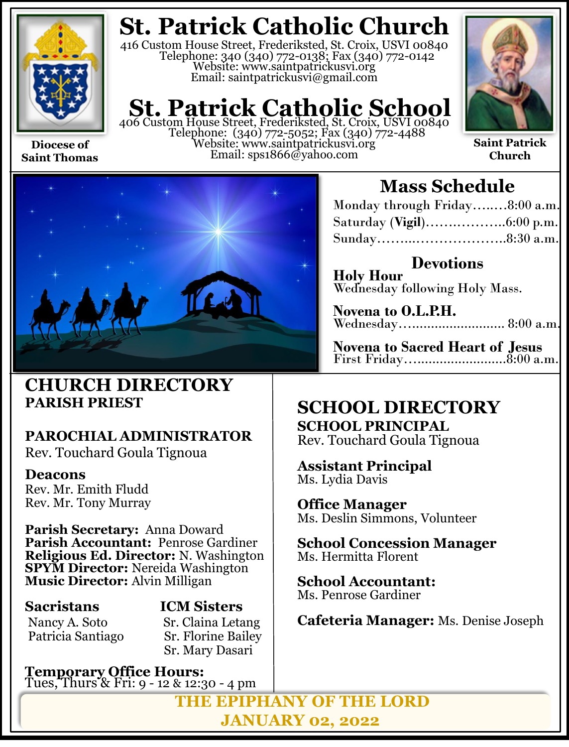

**Saint Thomas**

## **St. Patrick Catholic Church**

416 Custom House Street, Frederiksted, St. Croix, USVI 00840 Telephone: 340 (340) 772-0138; Fax (340) 772-0142 Website: www.saintpatrickusvi.org Email: saintpatrickusvi@gmail.com

# **St. Patrick Catholic School** 406 Custom House Street, Frederiksted, St. Croix, USVI 00840

Telephone: (340) 772-5052; Fax (340) 772-4488 Website: www.saintpatrickusvi.org Email: sps1866@yahoo.com



**Saint Patrick Church**



## **CHURCH DIRECTORY PARISH PRIEST**

## **PAROCHIAL ADMINISTRATOR**

Rev. Touchard Goula Tignoua

### **Deacons**

Rev. Mr. Emith Fludd Rev. Mr. Tony Murray

**Parish Secretary:** Anna Doward **Parish Accountant:** Penrose Gardiner **Religious Ed. Director:** N. Washington **SPYM Director:** Nereida Washington **Music Director:** Alvin Milligan

Patricia Santiago

## **Sacristans ICM Sisters**

Nancy A. Soto Sr. Claina Letang<br>Patricia Santiago Sr. Florine Bailev Sr. Mary Dasari

**Temporary Office Hours:**  Tues, Thurs & Fri: 9 - 12 & 12:30 - 4 pm

## **Mass Schedule**

| Monday through Friday8:00 a.m. |  |
|--------------------------------|--|
|                                |  |
|                                |  |

**Devotions Holy Hour**  Wednesday following Holy Mass.

**Novena to O.L.P.H.** Wednesday…......................... 8:00 a.m.

**Novena to Sacred Heart of Jesus** First Friday…........................8:00 a.m.

## **SCHOOL DIRECTORY SCHOOL PRINCIPAL**

Rev. Touchard Goula Tignoua

**Assistant Principal** Ms. Lydia Davis

**Office Manager** Ms. Deslin Simmons, Volunteer

**School Concession Manager** Ms. Hermitta Florent

**School Accountant:**  Ms. Penrose Gardiner

**Cafeteria Manager:** Ms. Denise Joseph

**THE EPIPHANY OF THE LORD JANUARY 02, 2022**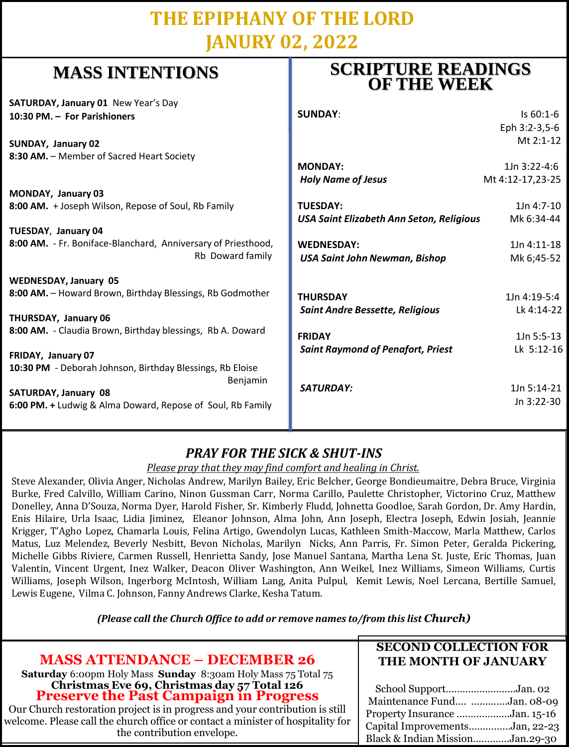## **THE EPIPHANY OF THE LORD JANURY 02, 2022**

## **MASS INTENTIONS**

**SATURDAY, January 01** New Year's Day **10:30 PM. – For Parishioners**

**SUNDAY, January 02 8:30 AM.** – Member of Sacred Heart Society

**MONDAY, January 03 8:00 AM.** + Joseph Wilson, Repose of Soul, Rb Family

**TUESDAY**, **January 04 8:00 AM.** - Fr. Boniface-Blanchard, Anniversary of Priestho Rb Doward fan

**WEDNESDAY, January 05** 8:00 AM. - Howard Brown, Birthday Blessings, Rb Godmoth

**THURSDAY, January 06** 8:00 AM. - Claudia Brown, Birthday blessings, Rb A. Doward

**FRIDAY, January 07 10:30 PM** - Deborah Johnson, Birthday Blessings, Rb Eloise Benjam

**SATURDAY, January 08 6:00 PM. +** Ludwig & Alma Doward, Repose of Soul, Rb Family

### **SCRIPTURE READINGS OF THE WEEK**

|      | <b>SUNDAY:</b>                           | Is 60:1-6        |
|------|------------------------------------------|------------------|
|      |                                          | Eph 3:2-3,5-6    |
|      |                                          | Mt 2:1-12        |
|      | <b>MONDAY:</b>                           | $1Jn 3:22-4:6$   |
|      | <b>Holy Name of Jesus</b>                | Mt 4:12-17,23-25 |
|      | <b>TUESDAY:</b>                          | $1Jn 4:7-10$     |
|      | USA Saint Elizabeth Ann Seton, Religious | Mk 6:34-44       |
| od,  | <b>WEDNESDAY:</b>                        | 1Jn 4:11-18      |
| nily | <b>USA Saint John Newman, Bishop</b>     | Mk 6;45-52       |
|      |                                          |                  |
| ገer  | <b>THURSDAY</b>                          | 1Jn 4:19-5:4     |
|      | <b>Saint Andre Bessette, Religious</b>   | Lk 4:14-22       |
| rd   | <b>FRIDAY</b>                            | 1Jn 5:5-13       |
|      | <b>Saint Raymond of Penafort, Priest</b> | Lk 5:12-16       |
|      |                                          |                  |
| nin  | SATURDAY:                                | 1Jn 5:14-21      |
| nily |                                          | Jn 3:22-30       |
|      |                                          |                  |

### *PRAY FOR THE SICK & SHUT-INS*

*Please pray that they may find comfort and healing in Christ.*

Steve Alexander, Olivia Anger, Nicholas Andrew, Marilyn Bailey, Eric Belcher, George Bondieumaitre, Debra Bruce, Virginia Burke, Fred Calvillo, William Carino, Ninon Gussman Carr, Norma Carillo, Paulette Christopher, Victorino Cruz, Matthew Donelley, Anna D'Souza, Norma Dyer, Harold Fisher, Sr. Kimberly Fludd, Johnetta Goodloe, Sarah Gordon, Dr. Amy Hardin, Enis Hilaire, Urla Isaac, Lidia Jiminez, Eleanor Johnson, Alma John, Ann Joseph, Electra Joseph, Edwin Josiah, Jeannie Krigger, T'Agho Lopez, Chamarla Louis, Felina Artigo, Gwendolyn Lucas, Kathleen Smith-Maccow, Marla Matthew, Carlos Matus, Luz Melendez, Beverly Nesbitt, Bevon Nicholas, Marilyn Nicks, Ann Parris, Fr. Simon Peter, Geralda Pickering, Michelle Gibbs Riviere, Carmen Russell, Henrietta Sandy, Jose Manuel Santana, Martha Lena St. Juste, Eric Thomas, Juan Valentin, Vincent Urgent, Inez Walker, Deacon Oliver Washington, Ann Weikel, Inez Williams, Simeon Williams, Curtis Williams, Joseph Wilson, Ingerborg McIntosh, William Lang, Anita Pulpul, Kemit Lewis, Noel Lercana, Bertille Samuel, Lewis Eugene, Vilma C. Johnson, Fanny Andrews Clarke, Kesha Tatum.

*(Please call the Church Office to add or remove names to/from this list Church)*

| <b>MASS ATTENDANCE - DECEMBER 26</b>                                                                                                                                                                                                                                                            | <b>SECOND COLLECTION FOR</b>                                                                                                                               |
|-------------------------------------------------------------------------------------------------------------------------------------------------------------------------------------------------------------------------------------------------------------------------------------------------|------------------------------------------------------------------------------------------------------------------------------------------------------------|
| <b>Saturday</b> 6:00pm Holy Mass Sunday 8:30am Holy Mass 75 Total 75                                                                                                                                                                                                                            | THE MONTH OF JANUARY                                                                                                                                       |
| <b>Christmas Eve 69, Christmas day 57 Total 126<br/>Preserve the Past Campaign in Progress</b><br>Our Church restoration project is in progress and your contribution is still<br>welcome. Please call the church office or contact a minister of hospitality for<br>the contribution envelope. | School SupportJan. 02<br>Maintenance Fund Jan. 08-09<br>Property Insurance Jan. 15-16<br>Capital ImprovementsJan, 22-23<br>Black & Indian MissionJan.29-30 |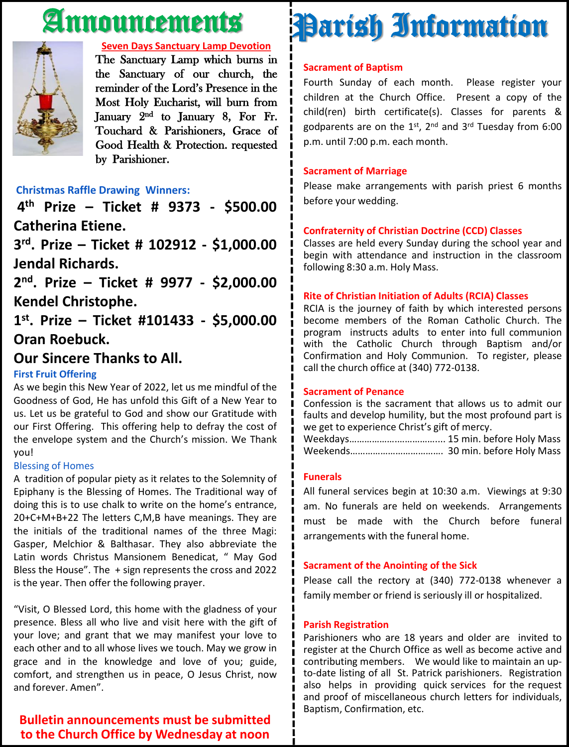## Announcements



#### **Seven Days Sanctuary Lamp Devotion**

The Sanctuary Lamp which burns in the Sanctuary of our church, the reminder of the Lord's Presence in the Most Holy Eucharist, will burn from January 2<sup>nd</sup> to January 8, For Fr. Touchard & Parishioners, Grace of Good Health & Protection. requested by Parishioner.

#### **Christmas Raffle Drawing Winners:**

**4 th Prize – Ticket # 9373 - \$500.00 Catherina Etiene.**

**3 rd . Prize – Ticket # 102912 - \$1,000.00 Jendal Richards.**

**2 nd . Prize – Ticket # 9977 - \$2,000.00 Kendel Christophe.**

**1 st . Prize – Ticket #101433 - \$5,000.00 Oran Roebuck.**

#### **Our Sincere Thanks to All.**

#### **First Fruit Offering**

As we begin this New Year of 2022, let us me mindful of the Goodness of God, He has unfold this Gift of a New Year to us. Let us be grateful to God and show our Gratitude with our First Offering. This offering help to defray the cost of the envelope system and the Church's mission. We Thank you!

#### Blessing of Homes

A tradition of popular piety as it relates to the Solemnity of Epiphany is the Blessing of Homes. The Traditional way of doing this is to use chalk to write on the home's entrance, 20+C+M+B+22 The letters C,M,B have meanings. They are the initials of the traditional names of the three Magi: Gasper, Melchior & Balthasar. They also abbreviate the Latin words Christus Mansionem Benedicat, " May God Bless the House". The + sign represents the cross and 2022 is the year. Then offer the following prayer.

"Visit, O Blessed Lord, this home with the gladness of your presence. Bless all who live and visit here with the gift of your love; and grant that we may manifest your love to each other and to all whose lives we touch. May we grow in grace and in the knowledge and love of you; guide, comfort, and strengthen us in peace, O Jesus Christ, now and forever. Amen".

#### **Bulletin announcements must be submitted to the Church Office by Wednesday at noon**

# Parish Information

#### **Sacrament of Baptism**

Fourth Sunday of each month. Please register your children at the Church Office. Present a copy of the child(ren) birth certificate(s). Classes for parents & godparents are on the 1st, 2<sup>nd</sup> and 3<sup>rd</sup> Tuesday from 6:00 p.m. until 7:00 p.m. each month.

#### **Sacrament of Marriage**

Please make arrangements with parish priest 6 months before your wedding.

#### **Confraternity of Christian Doctrine (CCD) Classes**

Classes are held every Sunday during the school year and begin with attendance and instruction in the classroom following 8:30 a.m. Holy Mass.

#### **Rite of Christian Initiation of Adults (RCIA) Classes**

RCIA is the journey of faith by which interested persons become members of the Roman Catholic Church. The program instructs adults to enter into full communion with the Catholic Church through Baptism and/or Confirmation and Holy Communion. To register, please call the church office at (340) 772-0138.

#### **Sacrament of Penance**

Confession is the sacrament that allows us to admit our faults and develop humility, but the most profound part is we get to experience Christ's gift of mercy.

Weekdays……………….…………….... 15 min. before Holy Mass Weekends………………………………. 30 min. before Holy Mass

#### **Funerals**

All funeral services begin at 10:30 a.m. Viewings at 9:30 am. No funerals are held on weekends. Arrangements must be made with the Church before funeral arrangements with the funeral home.

#### **Sacrament of the Anointing of the Sick**

Please call the rectory at (340) 772-0138 whenever a family member or friend is seriously ill or hospitalized.

#### **Parish Registration**

Parishioners who are 18 years and older are invited to register at the Church Office as well as become active and contributing members. We would like to maintain an upto-date listing of all St. Patrick parishioners. Registration also helps in providing quick services for the request and proof of miscellaneous church letters for individuals, Baptism, Confirmation, etc.